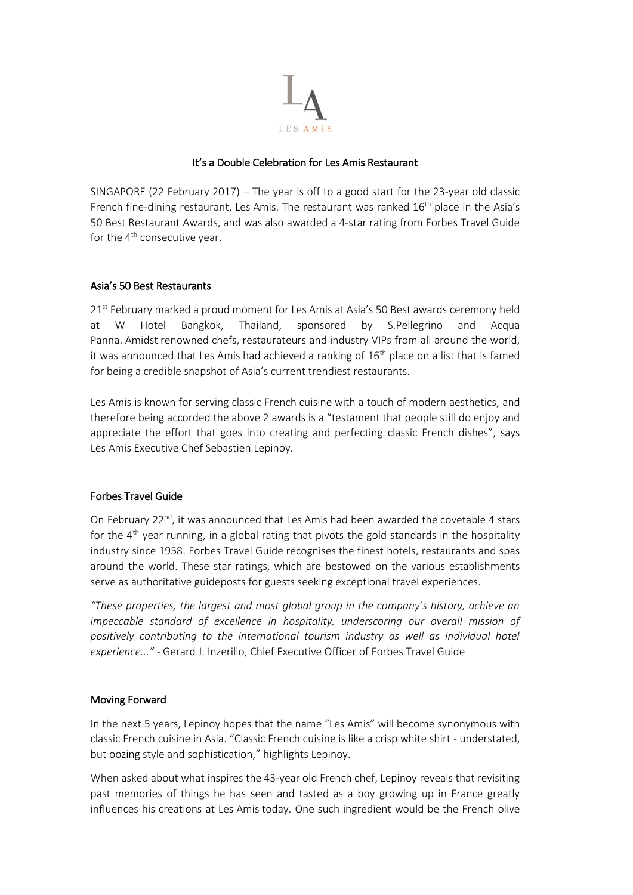

# It's a Double Celebration for Les Amis Restaurant

SINGAPORE (22 February 2017) – The year is off to a good start for the 23-year old classic French fine-dining restaurant, Les Amis. The restaurant was ranked  $16<sup>th</sup>$  place in the Asia's 50 Best Restaurant Awards, and was also awarded a 4-star rating from Forbes Travel Guide for the  $4<sup>th</sup>$  consecutive year.

## Asia's 50 Best Restaurants

21<sup>st</sup> February marked a proud moment for Les Amis at Asia's 50 Best awards ceremony held at W Hotel Bangkok, Thailand, sponsored by S.Pellegrino and Acqua Panna. Amidst renowned chefs, restaurateurs and industry VIPs from all around the world, it was announced that Les Amis had achieved a ranking of  $16<sup>th</sup>$  place on a list that is famed for being a credible snapshot of Asia's current trendiest restaurants.

Les Amis is known for serving classic French cuisine with a touch of modern aesthetics, and therefore being accorded the above 2 awards is a "testament that people still do enjoy and appreciate the effort that goes into creating and perfecting classic French dishes", says Les Amis Executive Chef Sebastien Lepinoy.

## Forbes Travel Guide

On February  $22^{nd}$ , it was announced that Les Amis had been awarded the covetable 4 stars for the 4<sup>th</sup> year running, in a global rating that pivots the gold standards in the hospitality industry since 1958. Forbes Travel Guide recognises the finest hotels, restaurants and spas around the world. These star ratings, which are bestowed on the various establishments serve as authoritative guideposts for guests seeking exceptional travel experiences.

*"These properties, the largest and most global group in the company's history, achieve an impeccable standard of excellence in hospitality, underscoring our overall mission of positively contributing to the international tourism industry as well as individual hotel experience..."* - Gerard J. Inzerillo, Chief Executive Officer of Forbes Travel Guide

#### Moving Forward

In the next 5 years, Lepinoy hopes that the name "Les Amis" will become synonymous with classic French cuisine in Asia. "Classic French cuisine is like a crisp white shirt - understated, but oozing style and sophistication," highlights Lepinoy.

When asked about what inspires the 43-year old French chef, Lepinoy reveals that revisiting past memories of things he has seen and tasted as a boy growing up in France greatly influences his creations at Les Amis today. One such ingredient would be the French olive